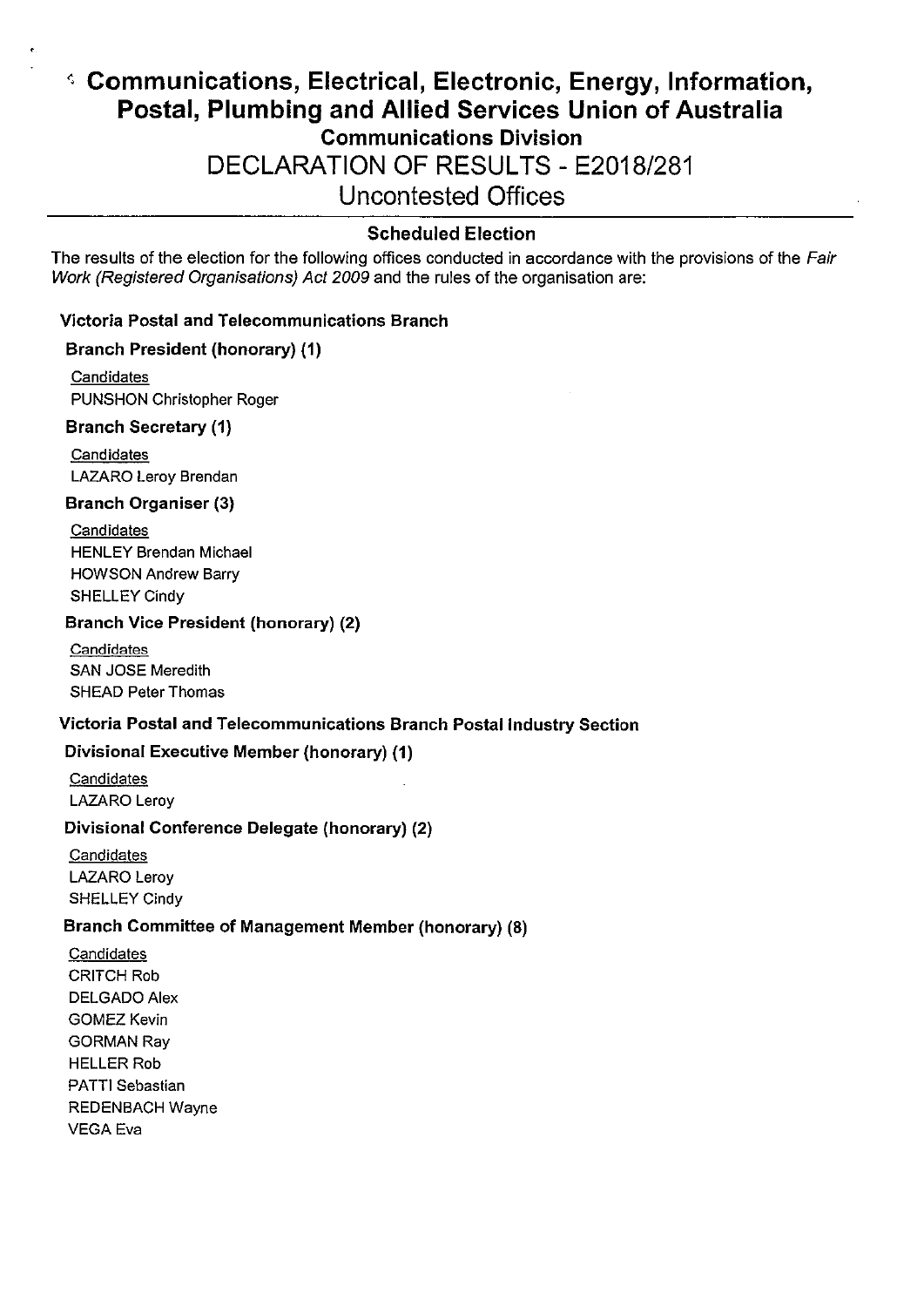# 4 Communications, Electrical, Electronic, Energy, Information, Postal, Plumbing and Allied Services Union of Australia Communications Division DECLARATION OF RESULTS - E2018/281 Uncontested Offices

# Scheduled Election

The results of the election for the following offices conducted in accordance with the provisions of the Fair Work (Registered Organisations) Act 2009 and the rules of the organisation are:

## Victoria Postal and Telecommunications Branch

#### Branch President (honorary) (1)

**Candidates** PUNSHON Christopher Roger

#### Branch Secretary (1)

\*

**Candidates** LAZARO Leroy Brendan

## Branch Organiser(3)

**Candidates** HENLEY Brendan MIChael HowSON Andrew Barry SHELLEY Cindy

#### Branch Vice President (honorary)(2)

**Candidates** SAN JOSE Meredith SHEAD Peter Thomas

## Victoria Postal and Telecommunications Branch Postal Industry Section

## Divisional Executive Member (honorary) (1)

**Candidates** LAZARO Leroy

## Divisional Conference Delegate (honorary)(2)

**Candidates** LAZARO Leroy SHELLEY Cindy

## Branch Committee of Management Member(honorary)(8)

**Candidates** CRITCH Rob DELGADO Alex GoMEZ Kevin GoRMAN Ray HELLER Rob PATTI Sebastian **REDENBACH Wayne** VEGAEva